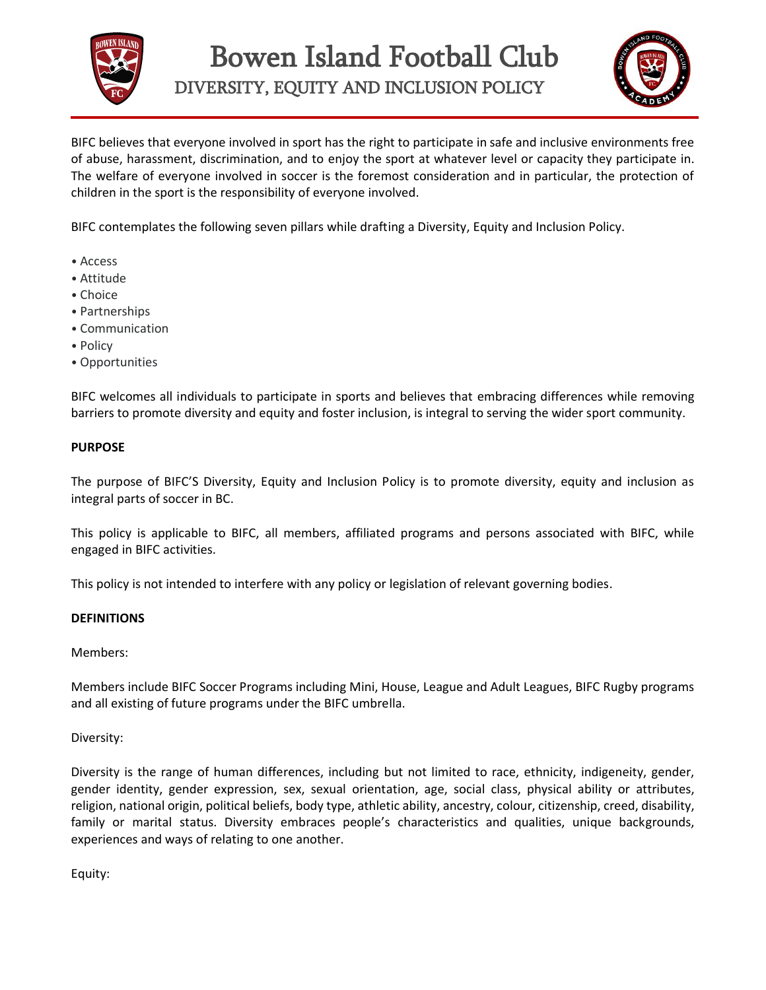



BIFC believes that everyone involved in sport has the right to participate in safe and inclusive environments free of abuse, harassment, discrimination, and to enjoy the sport at whatever level or capacity they participate in. The welfare of everyone involved in soccer is the foremost consideration and in particular, the protection of children in the sport is the responsibility of everyone involved.

BIFC contemplates the following seven pillars while drafting a Diversity, Equity and Inclusion Policy.

- Access
- Attitude
- Choice
- Partnerships
- Communication
- Policy
- Opportunities

BIFC welcomes all individuals to participate in sports and believes that embracing differences while removing barriers to promote diversity and equity and foster inclusion, is integral to serving the wider sport community.

## **PURPOSE**

The purpose of BIFC'S Diversity, Equity and Inclusion Policy is to promote diversity, equity and inclusion as integral parts of soccer in BC.

This policy is applicable to BIFC, all members, affiliated programs and persons associated with BIFC, while engaged in BIFC activities.

This policy is not intended to interfere with any policy or legislation of relevant governing bodies.

## **DEFINITIONS**

## Members:

Members include BIFC Soccer Programs including Mini, House, League and Adult Leagues, BIFC Rugby programs and all existing of future programs under the BIFC umbrella.

Diversity:

Diversity is the range of human differences, including but not limited to race, ethnicity, indigeneity, gender, gender identity, gender expression, sex, sexual orientation, age, social class, physical ability or attributes, religion, national origin, political beliefs, body type, athletic ability, ancestry, colour, citizenship, creed, disability, family or marital status. Diversity embraces people's characteristics and qualities, unique backgrounds, experiences and ways of relating to one another.

Equity: